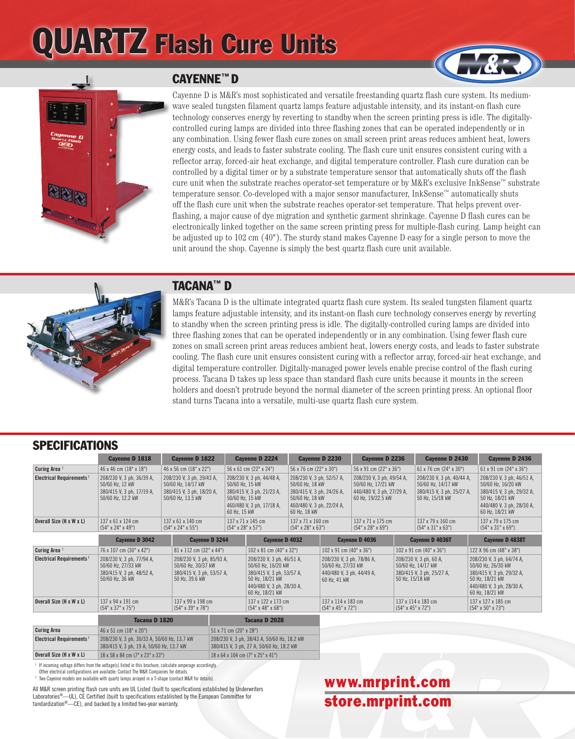## QUARTZ Flash Cure Units



#### CAYENNE™ D

Cayenne D is M&R's most sophisticated and versatile freestanding quartz flash cure system. Its mediumwave sealed tungsten filament quartz lamps feature adjustable intensity, and its instant-on flash cure technology conserves energy by reverting to standby when the screen printing press is idle. The digitallycontrolled curing lamps are divided into three flashing zones that can be operated independently or in any combination. Using fewer flash cure zones on small screen print areas reduces ambient heat, lowers energy costs, and leads to faster substrate cooling. The flash cure unit ensures consistent curing with a reflector array, forced-air heat exchange, and digital temperature controller. Flash cure duration can be controlled by a digital timer or by a substrate temperature sensor that automatically shuts off the flash cure unit when the substrate reaches operator-set temperature or by M&R's exclusive InkSense™ substrate temperature sensor. Co-developed with a major sensor manufacturer, InkSense™ automatically shuts off the flash cure unit when the substrate reaches operator-set temperature. That helps prevent overflashing, a major cause of dye migration and synthetic garment shrinkage. Cayenne D flash cures can be electronically linked together on the same screen printing press for multiple-flash curing. Lamp height can be adjusted up to 102 cm (40"). The sturdy stand makes Cayenne D easy for a single person to move the unit around the shop. Cayenne is simply the best quartz flash cure unit available.



#### TACANA™ D

M&R's Tacana D is the ultimate integrated quartz flash cure system. Its sealed tungsten filament quartz lamps feature adjustable intensity, and its instant-on flash cure technology conserves energy by reverting to standby when the screen printing press is idle. The digitally-controlled curing lamps are divided into three flashing zones that can be operated independently or in any combination. Using fewer flash cure zones on small screen print areas reduces ambient heat, lowers energy costs, and leads to faster substrate cooling. The flash cure unit ensures consistent curing with a reflector array, forced-air heat exchange, and digital temperature controller. Digitally-managed power levels enable precise control of the flash curing process. Tacana D takes up less space than standard flash cure units because it mounts in the screen holders and doesn't protrude beyond the normal diameter of the screen printing press. An optional floor stand turns Tacana into a versatile, multi-use quartz flash cure system.

#### SPECIFICATIONS

|                                      | Cayenne D 1818                                                                                  | Cayenne D 1822                                                                                    |                                        | <b>Cayenne D 2224</b>                                                                                                                           | Cayenne D 2230                                      |                                                                                                                                           | Cayenne D 2236                                      |                                                                                                   | Cayenne D 2430                                      |                                                        | Cayenne D 2436                                                                                                                                  |  |
|--------------------------------------|-------------------------------------------------------------------------------------------------|---------------------------------------------------------------------------------------------------|----------------------------------------|-------------------------------------------------------------------------------------------------------------------------------------------------|-----------------------------------------------------|-------------------------------------------------------------------------------------------------------------------------------------------|-----------------------------------------------------|---------------------------------------------------------------------------------------------------|-----------------------------------------------------|--------------------------------------------------------|-------------------------------------------------------------------------------------------------------------------------------------------------|--|
| Curing Area <sup>2</sup>             | 46 x 46 cm (18" x 18")                                                                          | 46 x 56 cm (18" x 22")                                                                            |                                        | 56 x 61 cm (22" x 24")                                                                                                                          |                                                     | 56 x 76 cm (22" x 30")                                                                                                                    |                                                     | 56 x 91 cm (22" x 36")                                                                            |                                                     | $61 \times 76$ cm $(24" \times 30")$                   | 61 x 91 cm (24" x 36")                                                                                                                          |  |
| Electrical Requirements <sup>1</sup> | 208/230 V, 3 ph, 36/39 A,<br>50/60 Hz, 12 kW<br>380/415 V, 3 ph, 17/19 A,<br>50/60 Hz, 12.2 kW  | 208/230 V, 3 ph, 39/43 A,<br>50/60 Hz, 14/17 kW<br>380/415 V, 3 ph, 18/20 A,<br>50/60 Hz, 13.5 kW |                                        | 208/230 V, 3 ph, 44/48 A,<br>50/60 Hz, 15 kW<br>380/415 V, 3 ph, 21/23 A,<br>50/60 Hz, 15 kW<br>460/480 V, 3 ph, 17/18 A,<br>60 Hz, 15 kW       |                                                     | 208/230 V, 3 ph, 52/57 A,<br>50/60 Hz, 18 kW<br>380/415 V, 3 ph, 24/26 A,<br>50/60 Hz, 18 kW<br>460/480 V, 3 ph, 22/24 A,<br>60 Hz, 18 kW |                                                     | 208/230 V, 3 ph, 49/54 A,<br>50/60 Hz, 17/21 kW<br>440/480 V, 3 ph, 27/29 A,<br>60 Hz, 19/22.5 kW |                                                     | 208/230 V, 3 ph, 40/44 A,<br>380/415 V, 3 ph, 25/27 A, | 208/230 V, 3 ph, 46/51 A,<br>50/60 Hz, 16/20 kW<br>380/415 V, 3 ph, 29/32 A,<br>50 Hz, 18/21 kW<br>440/480 V, 3 ph, 28/30 A,<br>60 Hz, 18/21 kW |  |
| Overall Size (H x W x L)             | 137 x 61 x 124 cm<br>$(54" \times 24" \times 49")$                                              | 137 x 61 x 140 cm<br>$(54" \times 24" \times 55")$                                                |                                        | 137 x 71 x 145 cm<br>$(54" \times 28" \times 57")$                                                                                              | 137 x 71 x 160 cm<br>$(54" \times 28" \times 63")$  |                                                                                                                                           | 137 x 71 x 175 cm<br>$(54" \times 28" \times 69")$  |                                                                                                   | 137 x 79 x 160 cm<br>$(54" \times 31" \times 63")$  |                                                        | 137 x 79 x 175 cm<br>$(54" \times 31" \times 69")$                                                                                              |  |
|                                      | Cayenne D 3042                                                                                  | Cayenne D 3244                                                                                    |                                        | Cayenne D 4032                                                                                                                                  |                                                     | Cayenne D 4036                                                                                                                            |                                                     |                                                                                                   | Cayenne D 4036T                                     |                                                        | Cayenne D 4838T                                                                                                                                 |  |
| Curing Area <sup>2</sup>             | 76 x 107 cm (30" x 42")                                                                         | 81 x 112 cm (32" x 44")                                                                           |                                        | 102 x 81 cm (40" x 32")                                                                                                                         |                                                     | $102 \times 91$ cm $(40" \times 36")$                                                                                                     |                                                     | 102 x 91 cm (40" x 36")                                                                           |                                                     |                                                        | 122 X 96 cm (48" x 38")                                                                                                                         |  |
| Electrical Requirements <sup>1</sup> | 208/230 V, 3 ph, 77/94 A,<br>50/60 Hz, 27/33 kW<br>380/415 V, 3 ph, 48/52 A,<br>50/60 Hz, 36 kW | 208/230 V, 3 ph, 85/93 A,<br>50/60 Hz, 30/37 kW<br>380/415 V, 3 ph, 53/57 A,<br>50 Hz, 39.6 kW    |                                        | 208/230 V, 3 ph, 46/51 A,<br>50/60 Hz, 16/20 kW<br>380/415 V, 3 ph, 53/57 A,<br>50 Hz, 18/21 kW<br>440/480 V, 3 ph, 28/30 A,<br>60 Hz, 18/21 kW |                                                     | 208/230 V, 3 ph, 78/86 A,<br>50/60 Hz, 27/33 kW<br>440/480 V, 3 ph, 44/49 A,<br>60 Hz, 41 kW                                              |                                                     | 208/230 V, 3 ph, 60 A,<br>50/60 Hz, 14/17 kW<br>380/415 V, 3 ph, 25/27 A,<br>50 Hz, 15/18 kW      |                                                     |                                                        | 208/230 V, 3 ph, 64/74 A,<br>50/60 Hz, 26/30 kW<br>380/415 V, 3 ph, 29/32 A,<br>50 Hz, 18/21 kW<br>440/480 V, 3 ph, 28/30 A,<br>60 Hz, 18/21 kW |  |
| Overall Size (H x W x L)             | 137 x 94 x 191 cm<br>$(54" \times 37" \times 75")$                                              | $(54" \times 39" \times 78")$                                                                     | 137 x 99 x 198 cm                      |                                                                                                                                                 | 137 x 122 x 173 cm<br>$(54" \times 48" \times 68")$ |                                                                                                                                           | 137 x 114 x 183 cm<br>$(54" \times 45" \times 72")$ |                                                                                                   | 137 x 114 x 183 cm<br>$(54" \times 45" \times 72")$ |                                                        | 137 x 127 x 185 cm<br>$(54" \times 50" \times 73")$                                                                                             |  |
|                                      | Tacana D 1820                                                                                   |                                                                                                   |                                        | Tacana D 2028                                                                                                                                   |                                                     |                                                                                                                                           |                                                     |                                                                                                   |                                                     |                                                        |                                                                                                                                                 |  |
| Puring Aroo                          | $AC_v E1_{nm}$ /10 $v$ 20 $v$                                                                   |                                                                                                   | $E1 \times 71$ am (20 $\mu$ 20 $\mu$ ) |                                                                                                                                                 |                                                     |                                                                                                                                           |                                                     |                                                                                                   |                                                     |                                                        |                                                                                                                                                 |  |

| 46 x 51 cm (18" x 20")                      | 51 x 71 cm (20" x 28")                                    |  |  |  |  |  |
|---------------------------------------------|-----------------------------------------------------------|--|--|--|--|--|
| 208/230 V. 3 ph. 30/33 A. 50/60 Hz. 13.7 kW | 208/230 V, 3 ph, 38/43 A, 50/60 Hz, 18.2 kW               |  |  |  |  |  |
| 380/415 V. 3 ph. 19 A. 50/60 Hz. 13.7 kW    | 380/415 V, 3 ph, 27 A, 50/60 Hz, 18.2 kW                  |  |  |  |  |  |
| 18 x 58 x 84 cm (7" x 23" x 33")            | $18 \times 64 \times 104$ cm $(7" \times 25" \times 41")$ |  |  |  |  |  |
|                                             |                                                           |  |  |  |  |  |

If incoming voltage differs from the voltage(s) listed in this brochure, calculate amperage accordingly. Other electrical configurations are available: Contact The M&R Companies for details.

<sup>2</sup> Two Cayenne models are available with quartz lamps arrayed in a T-shape (contact M&R for details).

All M&R screen printing flash cure units are UL Listed (built to specifications established by Underwriters Laboratories®—UL), CE Certified (built to specifications established by the European Committee for tandardization®—CE), and backed by a limited two-year warranty.

### www.mrprint.com store.mrprint.com